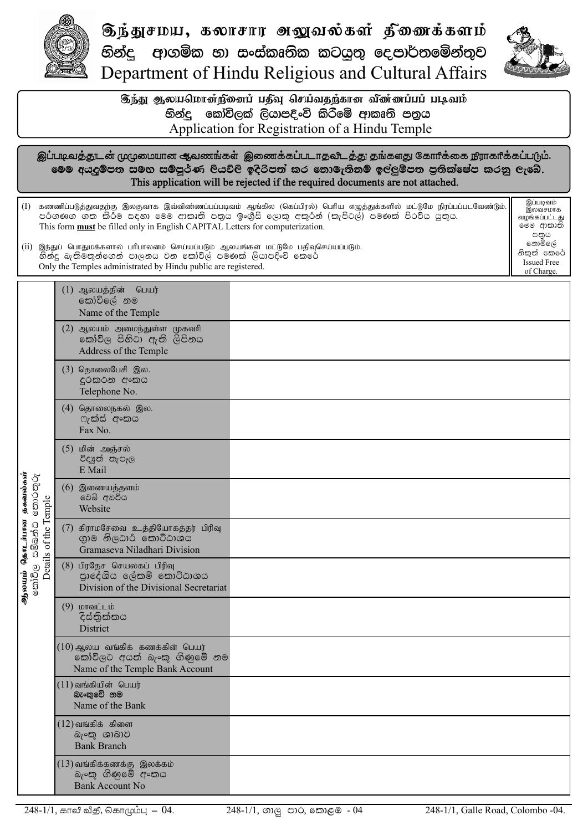

 $\mathfrak{F}$ ந்துசமய, கலாசார அலுவல்கள் திணைக்களம் නින්දු ආගමික හා සංස්කෘතික කටයුතු දෙපාර්තමේන්තුව Department of Hindu Religious and Cultural Affairs



Issued Free of Charge.

டுந்து ஆலயமொன்நினைப் பதீவு செய்வதந்கான வி்ண்ணப்பப் படிவம் Application for Registration of a Hindu Temple හින්ද, කෝවිලක් ලියාපදිංචි කිරීමේ ආකෘති පතුය

இப்படிவத்துடன் முழுமையான ஆவணங்கள் இணைக்கப்படாதவிடத்து தங்களது கோரிக்கை நிராகரிக்கப்படும். මෙම අයදුම්පත සමග සම්පූර්ණ ලියවිලි ඉදිරිපත් කර නොමැතිතම් ඉල්ලුම්පත පුතික්ෂේප කරනු ලැබේ. This application will be rejected if the required documents are not attached.

(I) கணணிப்படுத்துவதற்கு இலகுவாக இவ்விண்ணப்பப்படிவம் ஆங்கில (கெப்பிரல்) பெரிய எழுத்துக்களில் மட்டுமே நிரப்பப்படவேண்டும். පරිගණග ගත කිරීම සඳහා මෙම ආකෘති පතුය ඉංගීසි ලොකු අකුරින් (කැපිටල්) පමණක් පිරවිය යුතුය. This form **must** be filled only in English CAPITAL Letters for computerization. இப்படிவம் இலவசமாக வழங்கப்பட்டது මෙම ආකෘති පතුය නොමිලේ නිකත් කෙරේ

 $(ii)$  இந்துப் பொதுமக்களால் பரிபாலனம் செய்யப்படும் ஆலயங்கள் மட்டுமே பதிவுசெய்யப்படும். හින්දු බැතිමතුන්ගෙන් පාලනය වන කෝවිල් පමණක් ලියාපදිංචි කෙරේ Only the Temples administrated by Hindu public are registered.

|                                                                               | $(1)$ ஆலயத்தின்<br>பெயர்<br>කෝවිලේ නම<br>Name of the Temple                                         |  |
|-------------------------------------------------------------------------------|-----------------------------------------------------------------------------------------------------|--|
| ஆலயம் தொடங்கன தகவல்கள்<br>கிறப்படு கிகித்தி கைப்பூர்<br>Details of the Temple | $(2)$ ஆலயம் அமைந்துள்ள முகவரி<br>කෝවිල පිහිටා ඇති ලිපිනය<br>Address of the Temple                   |  |
|                                                                               | (3) தொலைபேசி இல.<br>දුරකථන අංකය<br>Telephone No.                                                    |  |
|                                                                               | (4) தொலைநகல் இல.<br>ෆැක්ස් අංකය<br>Fax No.                                                          |  |
|                                                                               | (5) மின் அஞ்சல்<br>විද¤ුත් තැපෑල<br>E Mail                                                          |  |
|                                                                               | $(6)$ இணையத்தளம்<br>වෙබ් අඩවිය<br>Website                                                           |  |
|                                                                               | $(7)$ கிராமசேவை உத்தியோகத்தர் பிரிவு<br>ගාම නිලධාරි කොට්ඨාශය<br>Gramaseva Niladhari Division        |  |
|                                                                               | $(8)$ பிரதேச செயலகப் பிரிவு<br>පාදේශිය ලේකම් කොට්ඨාශය<br>Division of the Divisional Secretariat     |  |
|                                                                               | $(9)$ மாவட்டம்<br>දිස්තිුක්කය<br>District                                                           |  |
|                                                                               | $(10)$ ஆலய வங்கிக் கணக்கின் பெயர்<br>කෝවිලට අයත් බැංකු ගිණුමේ නම<br>Name of the Temple Bank Account |  |
|                                                                               | $(11)$ வங்கியின் பெயர்<br>බැංකුවේ නම<br>Name of the Bank                                            |  |
|                                                                               | $(12)$ வங்கிக் கிளை<br>බැංකු ශාඛාව<br><b>Bank Branch</b>                                            |  |
|                                                                               | $(13)$ வங்கிக்கணக்கு இலக்கம்<br>බැංකු ගිණුමේ අංකය<br><b>Bank Account No</b>                         |  |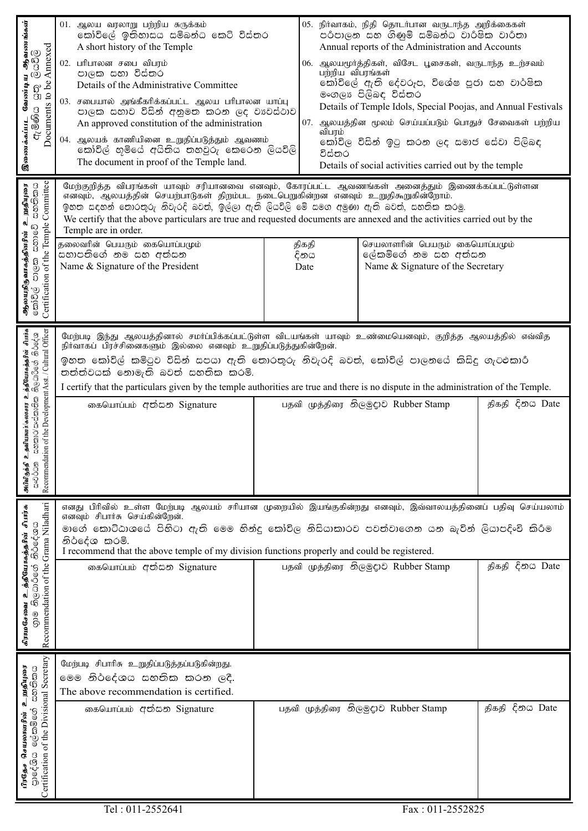| ஆவணங்கள்<br>Annexed<br>ම්යම්<br>Documents to be<br>வேண்டி<br>$\overline{\mathbb{S}}$<br>ඇමිණිය<br>இணைக்கப்பட                                                              | 01. ஆலய வரலாறு பற்றிய சுருக்கம்<br>කෝවිලේ ඉතිහාසය සම්බන්ධ කෙටි විස්තර<br>A short history of the Temple<br>02. பரிபாலன சபை விபரம்<br>පාලක සහා විස්තර<br>Details of the Administrative Committee<br>03. சபையால் அங்கீகரிக்கப்பட்ட ஆலய பரிபாலன யாப்பு<br>පාලක සභාව විසින් අනුමත කරන ලද වාවස්ථාව<br>An approved constitution of the administration<br>04. ஆலயக் காணியினை உறுதிப்படுத்தும் ஆவணம்<br>කෝවිල් හමියේ අයිතිය තහවුරු කෙරෙන ලියවිලි<br>The document in proof of the Temple land.                                                                         | 07.<br>விபரம்<br>විස්තර | 05. நிர்வாகம், நிதி தொடர்பான வருடாந்த அறிக்கைகள்<br>පරිපාලන සහ ගිණුම් සම්බන්ධ වාරිෂික වාරිතා<br>Annual reports of the Administration and Accounts<br>06. ஆலயமூர்த்திகள், விசேட பூசைகள், வருடாந்த உற்சவம்<br>பற்றிய விபரங்கள்<br>කෝවිලේ ඇති දේවරුප, විශේෂ පූජා සහ වාර්ෂික<br>මංගලා පිලිබඳ විස්තර<br>Details of Temple Idols, Special Poojas, and Annual Festivals<br>ஆலயத்தின மூலம் செய்யப்படும் பொதுச் சேவைகள் பற்றிய<br>කෝවිල විසින් ඉටු කරන ලද සමාජ සේවා පිලිබඳ<br>Details of social activities carried out by the temple |                    |  |  |
|---------------------------------------------------------------------------------------------------------------------------------------------------------------------------|--------------------------------------------------------------------------------------------------------------------------------------------------------------------------------------------------------------------------------------------------------------------------------------------------------------------------------------------------------------------------------------------------------------------------------------------------------------------------------------------------------------------------------------------------------------|-------------------------|-----------------------------------------------------------------------------------------------------------------------------------------------------------------------------------------------------------------------------------------------------------------------------------------------------------------------------------------------------------------------------------------------------------------------------------------------------------------------------------------------------------------------------|--------------------|--|--|
| Committee<br>ස්තතිකය<br>உறுதியுரை<br><b>ஆலயநிதுளகத்தினரின் உ</b><br>கிறிரு கர்கு கலைதி<br>Certification of the Temple                                                     | மேற்குறித்த விபரங்கள் யாவும் சரியானவை எனவும், கோரப்பட்ட ஆவணங்கள் அனைத்தும் இணைக்கப்பட்டுள்ளன<br>எனவும், ஆலயத்தின் செயற்பாடுகள் திறம்பட நடைபெறுகின்றன எனவும் உறுதிகூறுகின்றோம்.<br>ඉහත සඳහන් තොරතුරු නිවැරදි බවත්, ඉල්ලා ඇති ලියවිලි මේ සමග අමුණා ඇති බවත්, සහතික කරමු.<br>We certify that the above particulars are true and requested documents are annexed and the activities carried out by the<br>Temple are in order.<br>தலைவரின் பெயரும் கையொப்பமும்<br>செயலாளரின் பெயரும் கையொப்பமும்<br>திகதி<br>සහාපතිගේ නම සහ අත්සන<br>ලේකම්ගේ නම සහ අත්සන<br>දිනය |                         |                                                                                                                                                                                                                                                                                                                                                                                                                                                                                                                             |                    |  |  |
|                                                                                                                                                                           | Name & Signature of the President                                                                                                                                                                                                                                                                                                                                                                                                                                                                                                                            | Date                    | Name & Signature of the Secretary                                                                                                                                                                                                                                                                                                                                                                                                                                                                                           |                    |  |  |
| ட தவியனர்/கலாசார உத்தியோகத்தரின் சிமர்க<br>"සහකාර/සංස්කෘතික නිලධාරීගේ නිර්දේශ<br>tion of the Development Asst. / Cultural Officer<br>Recommenda<br>அபிவிருத்தி<br>සංවර්ධන | மேற்படி இந்து ஆலயத்தினால் சமா்ப்பிக்கப்பட்டுள்ள விடயங்கள் யாவும் உண்மையெனவும், குறித்த ஆலயத்தில் எவ்வித<br>நிர்வாகப் பிரச்சினைகளும் இல்லை எனவும் உறுதிப்படுத்துகின்றேன்.<br>ඉහත කෝවිල් කමිටුව විසින් සපයා ඇති තොරතුරු නිවැරදි බවත්, කෝවිල් පාලනයේ කිසිදු ගැටඑකාර්<br>තත්ත්වයක් නොමැති බවත් සහතික කරමි.<br>I certify that the particulars given by the temple authorities are true and there is no dispute in the administration of the Temple.                                                                                                               |                         |                                                                                                                                                                                                                                                                                                                                                                                                                                                                                                                             |                    |  |  |
|                                                                                                                                                                           | கையொப்பம் අත්සන Signature                                                                                                                                                                                                                                                                                                                                                                                                                                                                                                                                    |                         | பதவி முத்திரை නිලමුදුාව Rubber Stamp                                                                                                                                                                                                                                                                                                                                                                                                                                                                                        | திகதி දිනය Date    |  |  |
| Recommendation of the Grama Niladhari<br>கிராமசேவை உத்தியோகத்தரின் சிபர்சு<br>குறி திடுபெப்பூர் திப்டீதேய                                                                 | எனது பிரிவில் உள்ள மேற்படி ஆலயம் சரியான முறையில் இயங்குகின்றது எனவும், இவ்வாலயத்தினைப் பதிவு செய்யலாம்<br>எனவும் சிபார்சு செய்கின்றேன்.<br>මාගේ කොට්ඨාශයේ පිහිටා ඇති මෙම හින්දු කෝවිල නිසියාකාරව පවත්වාගෙන යන බැවින් ලියාපදිංචි කිරීම<br>නිර්දේශ කරමි.<br>I recommend that the above temple of my division functions properly and could be registered.                                                                                                                                                                                                       |                         |                                                                                                                                                                                                                                                                                                                                                                                                                                                                                                                             |                    |  |  |
|                                                                                                                                                                           | கையொப்பம் අත්සන Signature                                                                                                                                                                                                                                                                                                                                                                                                                                                                                                                                    |                         | பதவி முத்திரை නිලමුදුාට Rubber Stamp                                                                                                                                                                                                                                                                                                                                                                                                                                                                                        | දිනය Date<br>திகதி |  |  |
| Certification of the Divisional Secretary<br>உறுதியுரை<br>යනතිකය<br>ළේකමිනේ<br>செயலாளரின்<br>පාදේශිය<br>பிரதேச                                                            | மேற்படி சிபாரிசு உறுதிப்படுத்தப்படுகின்றது.<br>මෙම නිර්දේශය සහතික කරන ලදී.<br>The above recommendation is certified.                                                                                                                                                                                                                                                                                                                                                                                                                                         |                         |                                                                                                                                                                                                                                                                                                                                                                                                                                                                                                                             |                    |  |  |
|                                                                                                                                                                           | கையொப்பம் අත්සන Signature                                                                                                                                                                                                                                                                                                                                                                                                                                                                                                                                    |                         | பதவி முத்திரை නිලමුදාව Rubber Stamp                                                                                                                                                                                                                                                                                                                                                                                                                                                                                         | දිනය Date<br>திகதி |  |  |